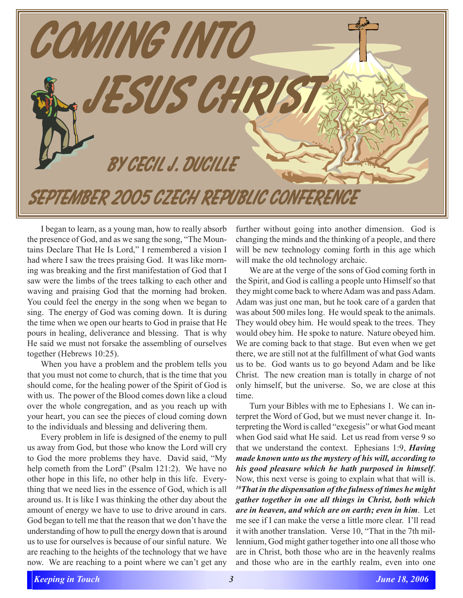

I began to learn, as a young man, how to really absorb the presence of God, and as we sang the song, "The Mountains Declare That He Is Lord," I remembered a vision I had where I saw the trees praising God. It was like morning was breaking and the first manifestation of God that I saw were the limbs of the trees talking to each other and waving and praising God that the morning had broken. You could feel the energy in the song when we began to sing. The energy of God was coming down. It is during the time when we open our hearts to God in praise that He pours in healing, deliverance and blessing. That is why He said we must not forsake the assembling of ourselves together (Hebrews 10:25).

When you have a problem and the problem tells you that you must not come to church, that is the time that you should come, for the healing power of the Spirit of God is with us. The power of the Blood comes down like a cloud over the whole congregation, and as you reach up with your heart, you can see the pieces of cloud coming down to the individuals and blessing and delivering them.

Every problem in life is designed of the enemy to pull us away from God, but those who know the Lord will cry to God the more problems they have. David said, "My help cometh from the Lord" (Psalm 121:2). We have no other hope in this life, no other help in this life. Everything that we need lies in the essence of God, which is all around us. It is like I was thinking the other day about the amount of energy we have to use to drive around in cars. God began to tell me that the reason that we don't have the understanding of how to pull the energy down that is around us to use for ourselves is because of our sinful nature. We are reaching to the heights of the technology that we have now. We are reaching to a point where we can't get any

further without going into another dimension. God is changing the minds and the thinking of a people, and there will be new technology coming forth in this age which will make the old technology archaic.

We are at the verge of the sons of God coming forth in the Spirit, and God is calling a people unto Himself so that they might come back to where Adam was and pass Adam. Adam was just one man, but he took care of a garden that was about 500 miles long. He would speak to the animals. They would obey him. He would speak to the trees. They would obey him. He spoke to nature. Nature obeyed him. We are coming back to that stage. But even when we get there, we are still not at the fulfillment of what God wants us to be. God wants us to go beyond Adam and be like Christ. The new creation man is totally in charge of not only himself, but the universe. So, we are close at this time.

Turn your Bibles with me to Ephesians 1. We can interpret the Word of God, but we must never change it. Interpreting the Word is called "exegesis" or what God meant when God said what He said. Let us read from verse 9 so that we understand the context. Ephesians 1:9, *Having made known unto us the mystery of his will, according to his good pleasure which he hath purposed in himself*. Now, this next verse is going to explain what that will is. *10That in the dispensation of the fulness of times he might gather together in one all things in Christ, both which are in heaven, and which are on earth; even in him*. Let me see if I can make the verse a little more clear. I'll read it with another translation. Verse 10, "That in the 7th millennium, God might gather together into one all those who are in Christ, both those who are in the heavenly realms and those who are in the earthly realm, even into one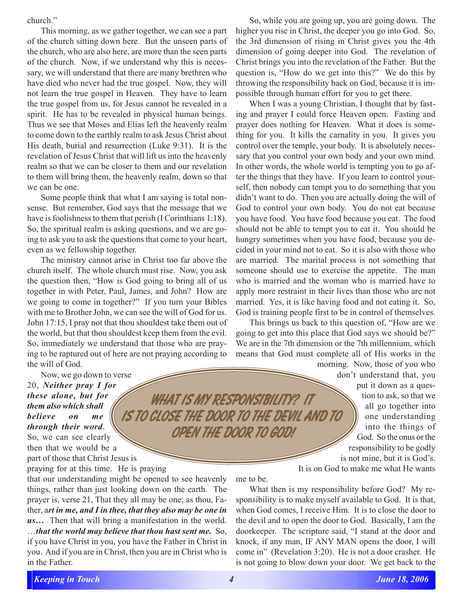## church."

This morning, as we gather together, we can see a part of the church sitting down here. But the unseen parts of the church, who are also here, are more than the seen parts of the church. Now, if we understand why this is necessary, we will understand that there are many brethren who have died who never had the true gospel. Now, they will not learn the true gospel in Heaven. They have to learn the true gospel from us, for Jesus cannot be revealed in a spirit. He has to be revealed in physical human beings. Thus we see that Moses and Elias left the heavenly realm to come down to the earthly realm to ask Jesus Christ about His death, burial and resurrection (Luke 9:31). It is the revelation of Jesus Christ that will lift us into the heavenly realm so that we can be closer to them and our revelation to them will bring them, the heavenly realm, down so that we can be one.

Some people think that what I am saying is total nonsense. But remember, God says that the message that we have is foolishness to them that perish (I Corinthians 1:18). So, the spiritual realm is asking questions, and we are going to ask you to ask the questions that come to your heart, even as we fellowship together.

The ministry cannot arise in Christ too far above the church itself. The whole church must rise. Now, you ask the question then, "How is God going to bring all of us together in with Peter, Paul, James, and John? How are we going to come in together?" If you turn your Bibles with me to Brother John, we can see the will of God for us. John 17:15, I pray not that thou shouldest take them out of the world, but that thou shouldest keep them from the evil. So, immediately we understand that those who are praying to be raptured out of here are not praying according to the will of God.

Now, we go down to verse 20, *Neither pray I for these alone, but for them also which shall believe on me through their word*. So, we can see clearly then that we would be a part of those that Christ Jesus is praying for at this time. He is praying *is to close the door to the devil and to*

that our understanding might be opened to see heavenly things, rather than just looking down on the earth. The prayer is, verse 21, That they all may be one; as thou, Father, a*rt in me, and I in thee, that they also may be one in us…* Then that will bring a manifestation in the world. …*that the world may believe that thou hast sent me.* So, if you have Christ in you, you have the Father in Christ in you. And if you are in Christ, then you are in Christ who is in the Father.

So, while you are going up, you are going down. The higher you rise in Christ, the deeper you go into God. So, the 3rd dimension of rising in Christ gives you the 4th dimension of going deeper into God. The revelation of Christ brings you into the revelation of the Father. But the question is, "How do we get into this?" We do this by throwing the responsibility back on God, because it is impossible through human effort for you to get there.

When I was a young Christian, I thought that by fasting and prayer I could force Heaven open. Fasting and prayer does nothing for Heaven. What it does is something for you. It kills the carnality in you. It gives you control over the temple, your body. It is absolutely necessary that you control your own body and your own mind. In other words, the whole world is tempting you to go after the things that they have. If you learn to control yourself, then nobody can tempt you to do something that you didn't want to do. Then you are actually doing the will of God to control your own body. You do not eat because you have food. You have food because you eat. The food should not be able to tempt you to eat it. You should be hungry sometimes when you have food, because you decided in your mind not to eat. So it is also with those who are married. The marital process is not something that someone should use to exercise the appetite. The man who is married and the woman who is married have to apply more restraint in their lives than those who are not married. Yes, it is like having food and not eating it. So, God is training people first to be in control of themselves.

This brings us back to this question of, "How are we going to get into this place that God says we should be?" We are in the 7th dimension or the 7th millennium, which means that God must complete all of His works in the

> morning. Now, those of you who don't understand that, you put it down as a question to ask, so that we all go together into one understanding into the things of God. So the onus or the responsibility to be godly is not mine, but it is God's. It is on God to make me what He wants

me to be.

*What is My responsibility? It*

 *open the door to God!*

What then is my responsibility before God? My responsibility is to make myself available to God. It is that, when God comes, I receive Him. It is to close the door to the devil and to open the door to God. Basically, I am the doorkeeper. The scripture said, "I stand at the door and knock, if any man, IF ANY MAN opens the door, I will come in" (Revelation 3:20). He is not a door crasher. He is not going to blow down your door. We get back to the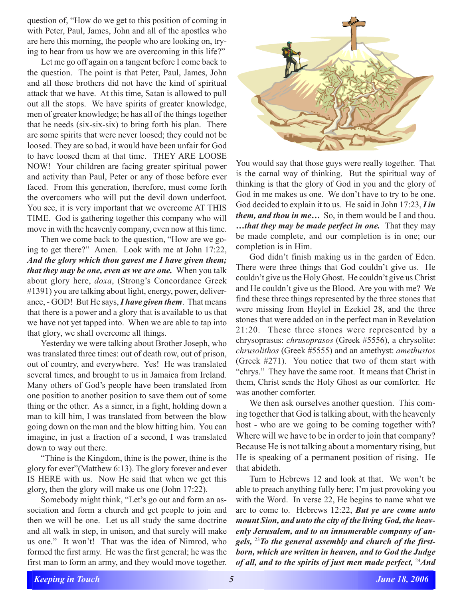question of, "How do we get to this position of coming in with Peter, Paul, James, John and all of the apostles who are here this morning, the people who are looking on, trying to hear from us how we are overcoming in this life?"

Let me go off again on a tangent before I come back to the question. The point is that Peter, Paul, James, John and all those brothers did not have the kind of spiritual attack that we have. At this time, Satan is allowed to pull out all the stops. We have spirits of greater knowledge, men of greater knowledge; he has all of the things together that he needs (six-six-six) to bring forth his plan. There are some spirits that were never loosed; they could not be loosed. They are so bad, it would have been unfair for God to have loosed them at that time. THEY ARE LOOSE NOW! Your children are facing greater spiritual power and activity than Paul, Peter or any of those before ever faced. From this generation, therefore, must come forth the overcomers who will put the devil down underfoot. You see, it is very important that we overcome AT THIS TIME. God is gathering together this company who will move in with the heavenly company, even now at this time.

Then we come back to the question, "How are we going to get there?" Amen. Look with me at John 17:22, *And the glory which thou gavest me I have given them; that they may be one, even as we are one.* When you talk about glory here, *doxa*, (Strong's Concordance Greek #1391) you are talking about light, energy, power, deliverance, - GOD! But He says, *I have given them*. That means that there is a power and a glory that is available to us that we have not yet tapped into. When we are able to tap into that glory, we shall overcome all things.

Yesterday we were talking about Brother Joseph, who was translated three times: out of death row, out of prison, out of country, and everywhere. Yes! He was translated several times, and brought to us in Jamaica from Ireland. Many others of God's people have been translated from one position to another position to save them out of some thing or the other. As a sinner, in a fight, holding down a man to kill him, I was translated from between the blow going down on the man and the blow hitting him. You can imagine, in just a fraction of a second, I was translated down to way out there.

"Thine is the Kingdom, thine is the power, thine is the glory for ever"(Matthew 6:13). The glory forever and ever IS HERE with us. Now He said that when we get this glory, then the glory will make us one (John 17:22).

Somebody might think, "Let's go out and form an association and form a church and get people to join and then we will be one. Let us all study the same doctrine and all walk in step, in unison, and that surely will make us one." It won't! That was the idea of Nimrod, who formed the first army. He was the first general; he was the first man to form an army, and they would move together.



You would say that those guys were really together. That is the carnal way of thinking. But the spiritual way of thinking is that the glory of God in you and the glory of God in me makes us one. We don't have to try to be one. God decided to explain it to us. He said in John 17:23, *I in them, and thou in me…* So, in them would be I and thou. *…that they may be made perfect in one.* That they may be made complete, and our completion is in one; our completion is in Him.

God didn't finish making us in the garden of Eden. There were three things that God couldn't give us. He couldn't give us the Holy Ghost. He couldn't give us Christ and He couldn't give us the Blood. Are you with me? We find these three things represented by the three stones that were missing from Heylel in Ezekiel 28, and the three stones that were added on in the perfect man in Revelation 21:20. These three stones were represented by a chrysoprasus: *chrusoprasos* (Greek #5556), a chrysolite: *chrusolithos* (Greek #5555) and an amethyst: *amethustos* (Greek #271). You notice that two of them start with "chrys." They have the same root. It means that Christ in them, Christ sends the Holy Ghost as our comforter. He was another comforter.

We then ask ourselves another question. This coming together that God is talking about, with the heavenly host - who are we going to be coming together with? Where will we have to be in order to join that company? Because He is not talking about a momentary rising, but He is speaking of a permanent position of rising. He that abideth.

Turn to Hebrews 12 and look at that. We won't be able to preach anything fully here; I'm just provoking you with the Word. In verse 22, He begins to name what we are to come to. Hebrews 12:22, *But ye are come unto mount Sion, and unto the city of the living God, the heavenly Jerusalem, and to an innumerable company of angels,* 23*To the general assembly and church of the firstborn, which are written in heaven, and to God the Judge of all, and to the spirits of just men made perfect,* 24*And*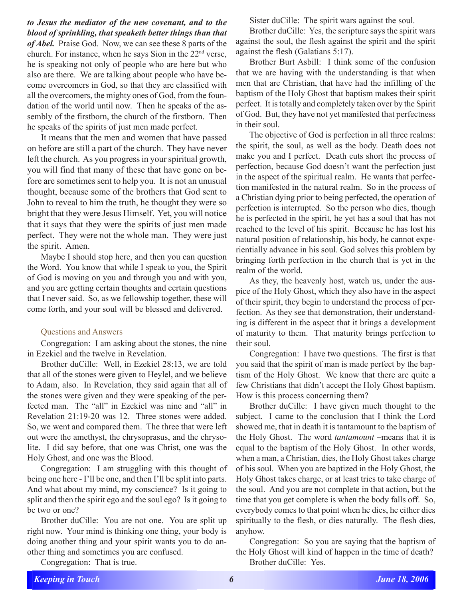## *to Jesus the mediator of the new covenant, and to the blood of sprinkling, that speaketh better things than that*

*of Abel.* Praise God. Now, we can see these 8 parts of the church. For instance, when he says Sion in the 22nd verse, he is speaking not only of people who are here but who also are there. We are talking about people who have become overcomers in God, so that they are classified with all the overcomers, the mighty ones of God, from the foundation of the world until now. Then he speaks of the assembly of the firstborn, the church of the firstborn. Then he speaks of the spirits of just men made perfect.

It means that the men and women that have passed on before are still a part of the church. They have never left the church. As you progress in your spiritual growth, you will find that many of these that have gone on before are sometimes sent to help you. It is not an unusual thought, because some of the brothers that God sent to John to reveal to him the truth, he thought they were so bright that they were Jesus Himself. Yet, you will notice that it says that they were the spirits of just men made perfect. They were not the whole man. They were just the spirit. Amen.

Maybe I should stop here, and then you can question the Word. You know that while I speak to you, the Spirit of God is moving on you and through you and with you, and you are getting certain thoughts and certain questions that I never said. So, as we fellowship together, these will come forth, and your soul will be blessed and delivered.

## Questions and Answers

Congregation: I am asking about the stones, the nine in Ezekiel and the twelve in Revelation.

Brother duCille: Well, in Ezekiel 28:13, we are told that all of the stones were given to Heylel, and we believe to Adam, also. In Revelation, they said again that all of the stones were given and they were speaking of the perfected man. The "all" in Ezekiel was nine and "all" in Revelation 21:19-20 was 12. Three stones were added. So, we went and compared them. The three that were left out were the amethyst, the chrysoprasus, and the chrysolite. I did say before, that one was Christ, one was the Holy Ghost, and one was the Blood.

Congregation: I am struggling with this thought of being one here - I'll be one, and then I'll be split into parts. And what about my mind, my conscience? Is it going to split and then the spirit ego and the soul ego? Is it going to be two or one?

Brother duCille: You are not one. You are split up right now. Your mind is thinking one thing, your body is doing another thing and your spirit wants you to do another thing and sometimes you are confused.

Congregation: That is true.

Sister duCille: The spirit wars against the soul.

Brother duCille: Yes, the scripture says the spirit wars against the soul, the flesh against the spirit and the spirit against the flesh (Galatians 5:17).

Brother Burt Asbill: I think some of the confusion that we are having with the understanding is that when men that are Christian, that have had the infilling of the baptism of the Holy Ghost that baptism makes their spirit perfect. It is totally and completely taken over by the Spirit of God. But, they have not yet manifested that perfectness in their soul.

The objective of God is perfection in all three realms: the spirit, the soul, as well as the body. Death does not make you and I perfect. Death cuts short the process of perfection, because God doesn't want the perfection just in the aspect of the spiritual realm. He wants that perfection manifested in the natural realm. So in the process of a Christian dying prior to being perfected, the operation of perfection is interrupted. So the person who dies, though he is perfected in the spirit, he yet has a soul that has not reached to the level of his spirit. Because he has lost his natural position of relationship, his body, he cannot experientially advance in his soul. God solves this problem by bringing forth perfection in the church that is yet in the realm of the world.

As they, the heavenly host, watch us, under the auspice of the Holy Ghost, which they also have in the aspect of their spirit, they begin to understand the process of perfection. As they see that demonstration, their understanding is different in the aspect that it brings a development of maturity to them. That maturity brings perfection to their soul.

Congregation: I have two questions. The first is that you said that the spirit of man is made perfect by the baptism of the Holy Ghost. We know that there are quite a few Christians that didn't accept the Holy Ghost baptism. How is this process concerning them?

Brother duCille: I have given much thought to the subject. I came to the conclusion that I think the Lord showed me, that in death it is tantamount to the baptism of the Holy Ghost. The word *tantamount* –means that it is equal to the baptism of the Holy Ghost. In other words, when a man, a Christian, dies, the Holy Ghost takes charge of his soul. When you are baptized in the Holy Ghost, the Holy Ghost takes charge, or at least tries to take charge of the soul. And you are not complete in that action, but the time that you get complete is when the body falls off. So, everybody comes to that point when he dies, he either dies spiritually to the flesh, or dies naturally. The flesh dies, anyhow.

Congregation: So you are saying that the baptism of the Holy Ghost will kind of happen in the time of death? Brother duCille: Yes.